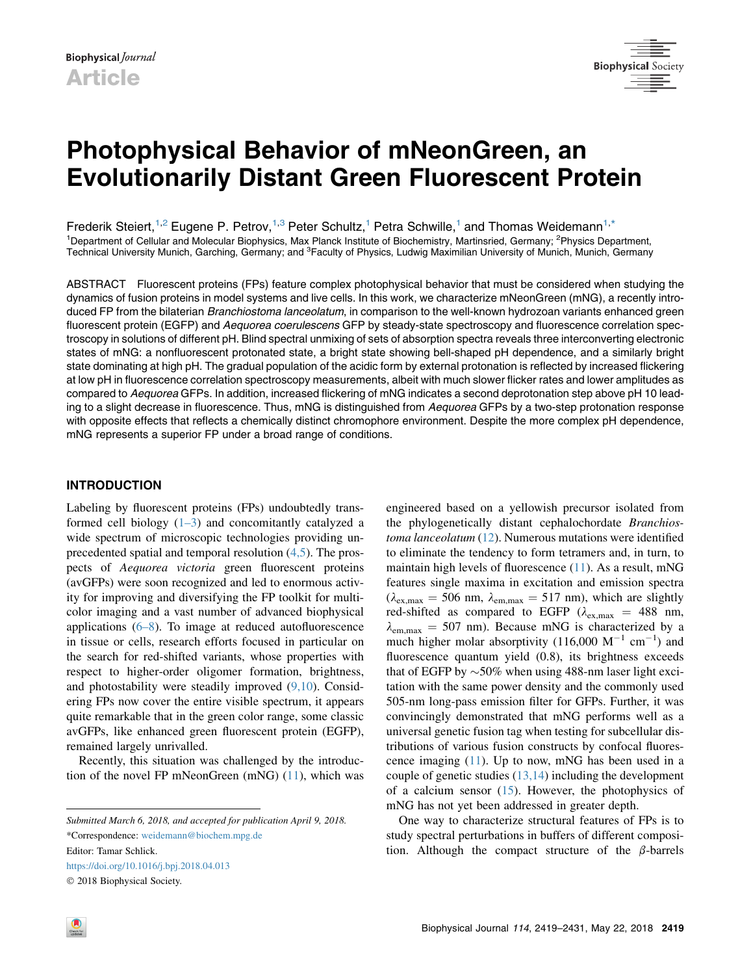

# Photophysical Behavior of mNeonGreen, an Evolutionarily Distant Green Fluorescent Protein

Frederik Steiert,<sup>1,2</sup> Eugene P. Petrov,<sup>1,3</sup> Peter Schultz,<sup>1</sup> Petra Schwille,<sup>1</sup> and Thomas Weidemann<sup>1,[\\*](#page-0-0)</sup> <sup>1</sup>Department of Cellular and Molecular Biophysics, Max Planck Institute of Biochemistry, Martinsried, Germany; <sup>2</sup>Physics Department, Technical University Munich, Garching, Germany; and <sup>3</sup>Faculty of Physics, Ludwig Maximilian University of Munich, Munich, Germany

<span id="page-0-1"></span>ABSTRACT Fluorescent proteins (FPs) feature complex photophysical behavior that must be considered when studying the dynamics of fusion proteins in model systems and live cells. In this work, we characterize mNeonGreen (mNG), a recently introduced FP from the bilaterian Branchiostoma lanceolatum, in comparison to the well-known hydrozoan variants enhanced green fluorescent protein (EGFP) and Aequorea coerulescens GFP by steady-state spectroscopy and fluorescence correlation spectroscopy in solutions of different pH. Blind spectral unmixing of sets of absorption spectra reveals three interconverting electronic states of mNG: a nonfluorescent protonated state, a bright state showing bell-shaped pH dependence, and a similarly bright state dominating at high pH. The gradual population of the acidic form by external protonation is reflected by increased flickering at low pH in fluorescence correlation spectroscopy measurements, albeit with much slower flicker rates and lower amplitudes as compared to Aequorea GFPs. In addition, increased flickering of mNG indicates a second deprotonation step above pH 10 leading to a slight decrease in fluorescence. Thus, mNG is distinguished from Aequorea GFPs by a two-step protonation response with opposite effects that reflects a chemically distinct chromophore environment. Despite the more complex pH dependence, mNG represents a superior FP under a broad range of conditions.

# INTRODUCTION

Labeling by fluorescent proteins (FPs) undoubtedly transformed cell biology  $(1-3)$  and concomitantly catalyzed a wide spectrum of microscopic technologies providing unprecedented spatial and temporal resolution [\(4,5\)](#page-11-1). The prospects of Aequorea victoria green fluorescent proteins (avGFPs) were soon recognized and led to enormous activity for improving and diversifying the FP toolkit for multicolor imaging and a vast number of advanced biophysical applications [\(6–8](#page-11-2)). To image at reduced autofluorescence in tissue or cells, research efforts focused in particular on the search for red-shifted variants, whose properties with respect to higher-order oligomer formation, brightness, and photostability were steadily improved ([9,10](#page-11-3)). Considering FPs now cover the entire visible spectrum, it appears quite remarkable that in the green color range, some classic avGFPs, like enhanced green fluorescent protein (EGFP), remained largely unrivalled.

Recently, this situation was challenged by the introduction of the novel FP mNeonGreen (mNG) ([11\)](#page-11-4), which was

Submitted March 6, 2018, and accepted for publication April 9, 2018.

<span id="page-0-0"></span>\*Correspondence: [weidemann@biochem.mpg.de](mailto:weidemann@biochem.mpg.de)

Editor: Tamar Schlick.

<https://doi.org/10.1016/j.bpj.2018.04.013>

engineered based on a yellowish precursor isolated from the phylogenetically distant cephalochordate Branchiostoma lanceolatum [\(12](#page-11-5)). Numerous mutations were identified to eliminate the tendency to form tetramers and, in turn, to maintain high levels of fluorescence [\(11](#page-11-4)). As a result, mNG features single maxima in excitation and emission spectra  $(\lambda_{\text{ex,max}} = 506 \text{ nm}, \lambda_{\text{em,max}} = 517 \text{ nm})$ , which are slightly red-shifted as compared to EGFP ( $\lambda_{\text{ex,max}} = 488$  nm,  $\lambda_{\text{em,max}} = 507$  nm). Because mNG is characterized by a much higher molar absorptivity  $(116,000 \text{ M}^{-1} \text{ cm}^{-1})$  and fluorescence quantum yield (0.8), its brightness exceeds that of EGFP by  $\sim$  50% when using 488-nm laser light excitation with the same power density and the commonly used 505-nm long-pass emission filter for GFPs. Further, it was convincingly demonstrated that mNG performs well as a universal genetic fusion tag when testing for subcellular distributions of various fusion constructs by confocal fluorescence imaging ([11\)](#page-11-4). Up to now, mNG has been used in a couple of genetic studies  $(13,14)$  including the development of a calcium sensor  $(15)$  $(15)$ . However, the photophysics of mNG has not yet been addressed in greater depth.

One way to characterize structural features of FPs is to study spectral perturbations in buffers of different composition. Although the compact structure of the  $\beta$ -barrels

 $©$  2018 Biophysical Society.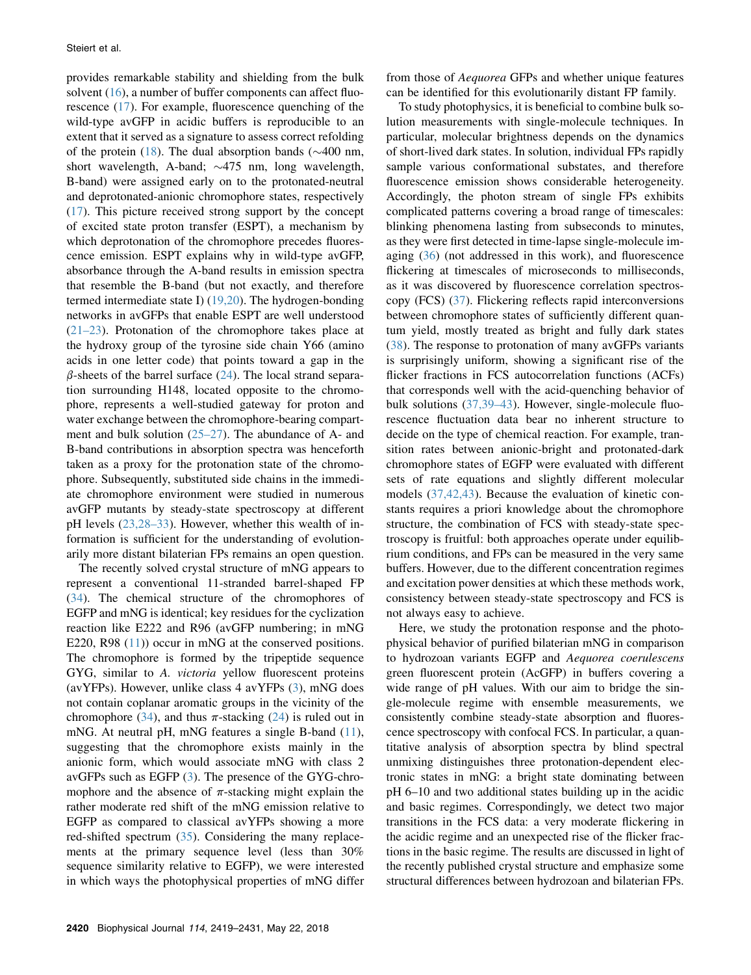provides remarkable stability and shielding from the bulk solvent ([16\)](#page-11-8), a number of buffer components can affect fluorescence ([17\)](#page-11-9). For example, fluorescence quenching of the wild-type avGFP in acidic buffers is reproducible to an extent that it served as a signature to assess correct refolding of the protein [\(18](#page-11-10)). The dual absorption bands ( $\sim$ 400 nm, short wavelength, A-band;  $\sim$ 475 nm, long wavelength, B-band) were assigned early on to the protonated-neutral and deprotonated-anionic chromophore states, respectively ([17\)](#page-11-9). This picture received strong support by the concept of excited state proton transfer (ESPT), a mechanism by which deprotonation of the chromophore precedes fluorescence emission. ESPT explains why in wild-type avGFP, absorbance through the A-band results in emission spectra that resemble the B-band (but not exactly, and therefore termed intermediate state I) ([19,20](#page-11-11)). The hydrogen-bonding networks in avGFPs that enable ESPT are well understood ([21–23\)](#page-11-12). Protonation of the chromophore takes place at the hydroxy group of the tyrosine side chain Y66 (amino acids in one letter code) that points toward a gap in the  $\beta$ -sheets of the barrel surface ([24\)](#page-11-13). The local strand separation surrounding H148, located opposite to the chromophore, represents a well-studied gateway for proton and water exchange between the chromophore-bearing compartment and bulk solution  $(25-27)$ . The abundance of A- and B-band contributions in absorption spectra was henceforth taken as a proxy for the protonation state of the chromophore. Subsequently, substituted side chains in the immediate chromophore environment were studied in numerous avGFP mutants by steady-state spectroscopy at different pH levels ([23,28–33](#page-11-15)). However, whether this wealth of information is sufficient for the understanding of evolutionarily more distant bilaterian FPs remains an open question.

The recently solved crystal structure of mNG appears to represent a conventional 11-stranded barrel-shaped FP ([34\)](#page-11-16). The chemical structure of the chromophores of EGFP and mNG is identical; key residues for the cyclization reaction like E222 and R96 (avGFP numbering; in mNG E220, R98 [\(11](#page-11-4))) occur in mNG at the conserved positions. The chromophore is formed by the tripeptide sequence GYG, similar to A. victoria yellow fluorescent proteins (avYFPs). However, unlike class 4 avYFPs [\(3](#page-11-17)), mNG does not contain coplanar aromatic groups in the vicinity of the chromophore [\(34](#page-11-16)), and thus  $\pi$ -stacking ([24\)](#page-11-13) is ruled out in mNG. At neutral pH, mNG features a single B-band ([11\)](#page-11-4), suggesting that the chromophore exists mainly in the anionic form, which would associate mNG with class 2 avGFPs such as EGFP [\(3](#page-11-17)). The presence of the GYG-chromophore and the absence of  $\pi$ -stacking might explain the rather moderate red shift of the mNG emission relative to EGFP as compared to classical avYFPs showing a more red-shifted spectrum ([35\)](#page-11-18). Considering the many replacements at the primary sequence level (less than 30% sequence similarity relative to EGFP), we were interested in which ways the photophysical properties of mNG differ from those of Aequorea GFPs and whether unique features can be identified for this evolutionarily distant FP family.

To study photophysics, it is beneficial to combine bulk solution measurements with single-molecule techniques. In particular, molecular brightness depends on the dynamics of short-lived dark states. In solution, individual FPs rapidly sample various conformational substates, and therefore fluorescence emission shows considerable heterogeneity. Accordingly, the photon stream of single FPs exhibits complicated patterns covering a broad range of timescales: blinking phenomena lasting from subseconds to minutes, as they were first detected in time-lapse single-molecule imaging [\(36\)](#page-11-19) (not addressed in this work), and fluorescence flickering at timescales of microseconds to milliseconds, as it was discovered by fluorescence correlation spectroscopy (FCS) [\(37](#page-11-20)). Flickering reflects rapid interconversions between chromophore states of sufficiently different quantum yield, mostly treated as bright and fully dark states ([38\)](#page-11-21). The response to protonation of many avGFPs variants is surprisingly uniform, showing a significant rise of the flicker fractions in FCS autocorrelation functions (ACFs) that corresponds well with the acid-quenching behavior of bulk solutions ([37,39–43](#page-11-20)). However, single-molecule fluorescence fluctuation data bear no inherent structure to decide on the type of chemical reaction. For example, transition rates between anionic-bright and protonated-dark chromophore states of EGFP were evaluated with different sets of rate equations and slightly different molecular models [\(37,42,43](#page-11-20)). Because the evaluation of kinetic constants requires a priori knowledge about the chromophore structure, the combination of FCS with steady-state spectroscopy is fruitful: both approaches operate under equilibrium conditions, and FPs can be measured in the very same buffers. However, due to the different concentration regimes and excitation power densities at which these methods work, consistency between steady-state spectroscopy and FCS is not always easy to achieve.

Here, we study the protonation response and the photophysical behavior of purified bilaterian mNG in comparison to hydrozoan variants EGFP and Aequorea coerulescens green fluorescent protein (AcGFP) in buffers covering a wide range of pH values. With our aim to bridge the single-molecule regime with ensemble measurements, we consistently combine steady-state absorption and fluorescence spectroscopy with confocal FCS. In particular, a quantitative analysis of absorption spectra by blind spectral unmixing distinguishes three protonation-dependent electronic states in mNG: a bright state dominating between pH 6–10 and two additional states building up in the acidic and basic regimes. Correspondingly, we detect two major transitions in the FCS data: a very moderate flickering in the acidic regime and an unexpected rise of the flicker fractions in the basic regime. The results are discussed in light of the recently published crystal structure and emphasize some structural differences between hydrozoan and bilaterian FPs.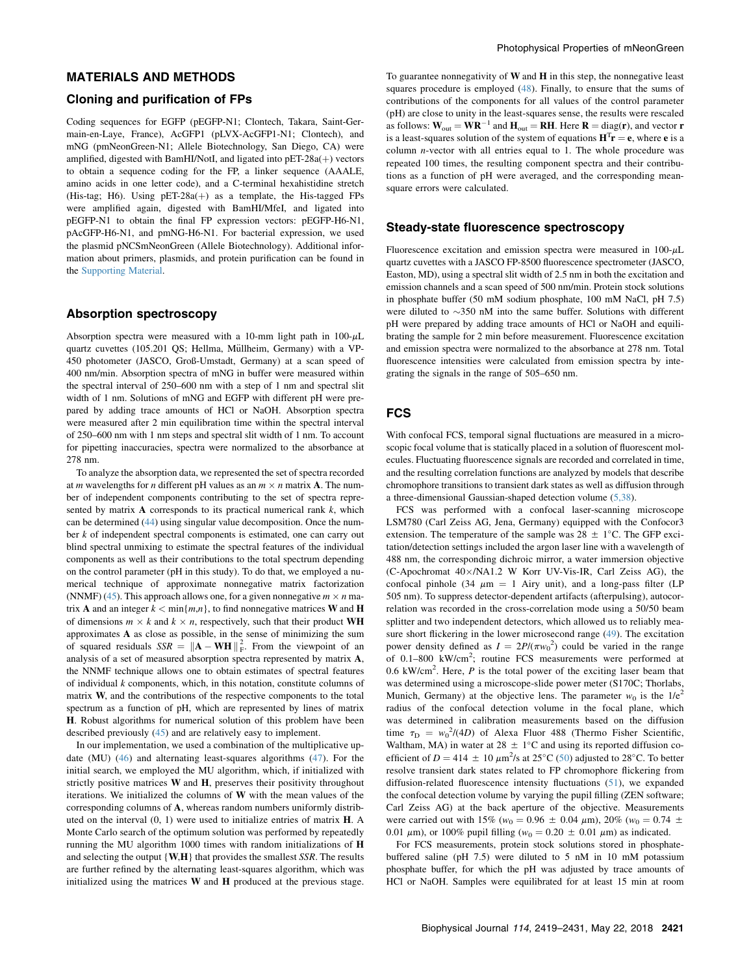# MATERIALS AND METHODS

## Cloning and purification of FPs

Coding sequences for EGFP (pEGFP-N1; Clontech, Takara, Saint-Germain-en-Laye, France), AcGFP1 (pLVX-AcGFP1-N1; Clontech), and mNG (pmNeonGreen-N1; Allele Biotechnology, San Diego, CA) were amplified, digested with BamHI/NotI, and ligated into  $pET-28a(+)$  vectors to obtain a sequence coding for the FP, a linker sequence (AAALE, amino acids in one letter code), and a C-terminal hexahistidine stretch (His-tag; H6). Using  $pET-28a(+)$  as a template, the His-tagged FPs were amplified again, digested with BamHI/MfeI, and ligated into pEGFP-N1 to obtain the final FP expression vectors: pEGFP-H6-N1, pAcGFP-H6-N1, and pmNG-H6-N1. For bacterial expression, we used the plasmid pNCSmNeonGreen (Allele Biotechnology). Additional information about primers, plasmids, and protein purification can be found in the [Supporting Material](#page-10-0).

#### Absorption spectroscopy

Absorption spectra were measured with a 10-mm light path in  $100-\mu L$ quartz cuvettes (105.201 QS; Hellma, Müllheim, Germany) with a VP-450 photometer (JASCO, Groß-Umstadt, Germany) at a scan speed of 400 nm/min. Absorption spectra of mNG in buffer were measured within the spectral interval of 250–600 nm with a step of 1 nm and spectral slit width of 1 nm. Solutions of mNG and EGFP with different pH were prepared by adding trace amounts of HCl or NaOH. Absorption spectra were measured after 2 min equilibration time within the spectral interval of 250–600 nm with 1 nm steps and spectral slit width of 1 nm. To account for pipetting inaccuracies, spectra were normalized to the absorbance at 278 nm.

To analyze the absorption data, we represented the set of spectra recorded at *m* wavelengths for *n* different pH values as an  $m \times n$  matrix **A**. The number of independent components contributing to the set of spectra represented by matrix  $A$  corresponds to its practical numerical rank  $k$ , which can be determined [\(44](#page-12-0)) using singular value decomposition. Once the number k of independent spectral components is estimated, one can carry out blind spectral unmixing to estimate the spectral features of the individual components as well as their contributions to the total spectrum depending on the control parameter (pH in this study). To do that, we employed a numerical technique of approximate nonnegative matrix factorization (NNMF) ([45\)](#page-12-1). This approach allows one, for a given nonnegative  $m \times n$  matrix **A** and an integer  $k < \min\{m, n\}$ , to find nonnegative matrices **W** and **H** of dimensions  $m \times k$  and  $k \times n$ , respectively, such that their product WH approximates A as close as possible, in the sense of minimizing the sum of squared residuals  $SSR = ||\mathbf{A} - \mathbf{W}\mathbf{H}||_F^2$ . From the viewpoint of an analysis of a set of measured absorption spectra represented by matrix A, the NNMF technique allows one to obtain estimates of spectral features of individual k components, which, in this notation, constitute columns of matrix W, and the contributions of the respective components to the total spectrum as a function of pH, which are represented by lines of matrix H. Robust algorithms for numerical solution of this problem have been described previously ([45\)](#page-12-1) and are relatively easy to implement.

In our implementation, we used a combination of the multiplicative update (MU) ([46\)](#page-12-2) and alternating least-squares algorithms [\(47](#page-12-3)). For the initial search, we employed the MU algorithm, which, if initialized with strictly positive matrices W and H, preserves their positivity throughout iterations. We initialized the columns of W with the mean values of the corresponding columns of A, whereas random numbers uniformly distributed on the interval (0, 1) were used to initialize entries of matrix H. A Monte Carlo search of the optimum solution was performed by repeatedly running the MU algorithm 1000 times with random initializations of H and selecting the output  ${W,H}$  that provides the smallest SSR. The results are further refined by the alternating least-squares algorithm, which was initialized using the matrices W and H produced at the previous stage. To guarantee nonnegativity of  $W$  and  $H$  in this step, the nonnegative least squares procedure is employed ([48](#page-12-4)). Finally, to ensure that the sums of contributions of the components for all values of the control parameter (pH) are close to unity in the least-squares sense, the results were rescaled as follows:  $W_{\text{out}} = WR^{-1}$  and  $H_{\text{out}} = RH$ . Here  $R = \text{diag}(r)$ , and vector r is a least-squares solution of the system of equations  $\mathbf{H}^{\mathrm{T}}\mathbf{r} = \mathbf{e}$ , where  $\mathbf{e}$  is a column  $n$ -vector with all entries equal to 1. The whole procedure was repeated 100 times, the resulting component spectra and their contributions as a function of pH were averaged, and the corresponding meansquare errors were calculated.

#### Steady-state fluorescence spectroscopy

Fluorescence excitation and emission spectra were measured in  $100-\mu L$ quartz cuvettes with a JASCO FP-8500 fluorescence spectrometer (JASCO, Easton, MD), using a spectral slit width of 2.5 nm in both the excitation and emission channels and a scan speed of 500 nm/min. Protein stock solutions in phosphate buffer (50 mM sodium phosphate, 100 mM NaCl, pH 7.5) were diluted to  $\sim$ 350 nM into the same buffer. Solutions with different pH were prepared by adding trace amounts of HCl or NaOH and equilibrating the sample for 2 min before measurement. Fluorescence excitation and emission spectra were normalized to the absorbance at 278 nm. Total fluorescence intensities were calculated from emission spectra by integrating the signals in the range of 505–650 nm.

# **FCS**

With confocal FCS, temporal signal fluctuations are measured in a microscopic focal volume that is statically placed in a solution of fluorescent molecules. Fluctuating fluorescence signals are recorded and correlated in time, and the resulting correlation functions are analyzed by models that describe chromophore transitions to transient dark states as well as diffusion through a three-dimensional Gaussian-shaped detection volume [\(5,38\)](#page-11-22).

FCS was performed with a confocal laser-scanning microscope LSM780 (Carl Zeiss AG, Jena, Germany) equipped with the Confocor3 extension. The temperature of the sample was  $28 \pm 1^{\circ}$ C. The GFP excitation/detection settings included the argon laser line with a wavelength of 488 nm, the corresponding dichroic mirror, a water immersion objective (C-Apochromat  $40\times/NA1.2$  W Korr UV-Vis-IR, Carl Zeiss AG), the confocal pinhole (34  $\mu$ m = 1 Airy unit), and a long-pass filter (LP 505 nm). To suppress detector-dependent artifacts (afterpulsing), autocorrelation was recorded in the cross-correlation mode using a 50/50 beam splitter and two independent detectors, which allowed us to reliably measure short flickering in the lower microsecond range [\(49](#page-12-5)). The excitation power density defined as  $I = 2P/(\pi w_0^2)$  could be varied in the range of 0.1–800 kW/cm<sup>2</sup>; routine FCS measurements were performed at 0.6 kW/cm<sup>2</sup>. Here,  $P$  is the total power of the exciting laser beam that was determined using a microscope-slide power meter (S170C; Thorlabs, Munich, Germany) at the objective lens. The parameter  $w_0$  is the  $1/e^2$ radius of the confocal detection volume in the focal plane, which was determined in calibration measurements based on the diffusion time  $\tau_D = w_0^2/(4D)$  of Alexa Fluor 488 (Thermo Fisher Scientific, Waltham, MA) in water at 28  $\pm$  1°C and using its reported diffusion coefficient of  $D = 414 \pm 10 \ \mu \text{m}^2/\text{s}$  at 25°C [\(50](#page-12-6)) adjusted to 28°C. To better resolve transient dark states related to FP chromophore flickering from diffusion-related fluorescence intensity fluctuations ([51\)](#page-12-7), we expanded the confocal detection volume by varying the pupil filling (ZEN software; Carl Zeiss AG) at the back aperture of the objective. Measurements were carried out with 15% ( $w_0 = 0.96 \pm 0.04 \ \mu \text{m}$ ), 20% ( $w_0 = 0.74 \pm 0.74 \ \mu \text{m}$ ) 0.01  $\mu$ m), or 100% pupil filling ( $w_0 = 0.20 \pm 0.01 \mu$ m) as indicated.

For FCS measurements, protein stock solutions stored in phosphatebuffered saline (pH 7.5) were diluted to 5 nM in 10 mM potassium phosphate buffer, for which the pH was adjusted by trace amounts of HCl or NaOH. Samples were equilibrated for at least 15 min at room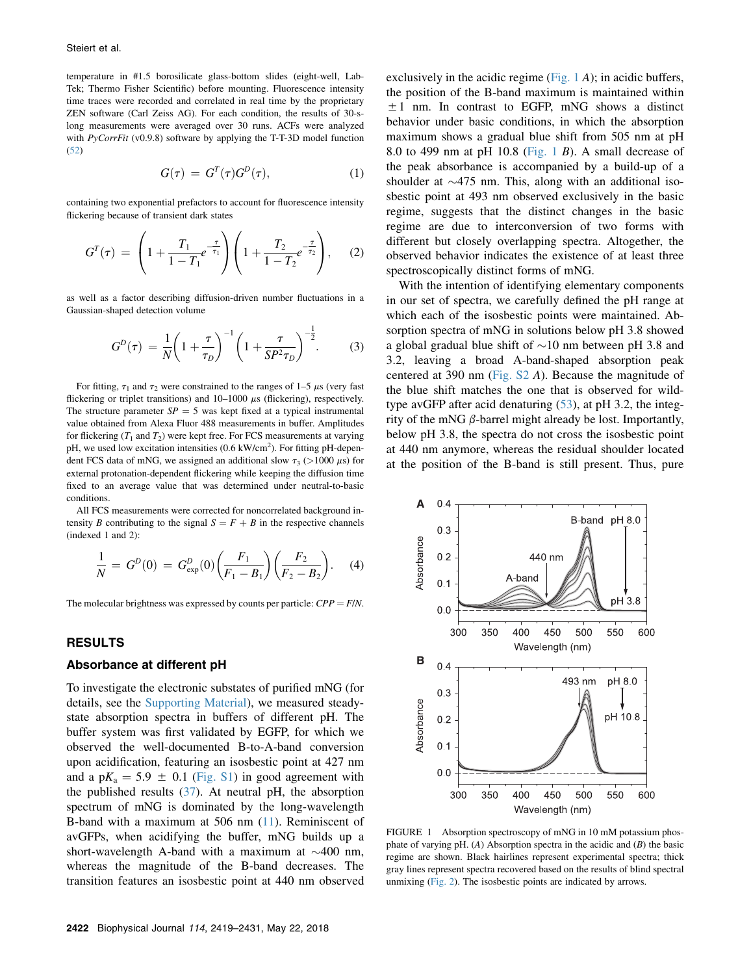temperature in #1.5 borosilicate glass-bottom slides (eight-well, Lab-Tek; Thermo Fisher Scientific) before mounting. Fluorescence intensity time traces were recorded and correlated in real time by the proprietary ZEN software (Carl Zeiss AG). For each condition, the results of 30-slong measurements were averaged over 30 runs. ACFs were analyzed with *PyCorrFit* (v0.9.8) software by applying the T-T-3D model function [\(52](#page-12-8))

$$
G(\tau) = G^T(\tau)G^D(\tau), \qquad (1)
$$

containing two exponential prefactors to account for fluorescence intensity flickering because of transient dark states

$$
G^{T}(\tau) = \left(1 + \frac{T_{1}}{1 - T_{1}} e^{-\frac{\tau}{\tau_{1}}}\right) \left(1 + \frac{T_{2}}{1 - T_{2}} e^{-\frac{\tau}{\tau_{2}}}\right), \quad (2)
$$

as well as a factor describing diffusion-driven number fluctuations in a Gaussian-shaped detection volume

$$
G^{D}(\tau) = \frac{1}{N} \left( 1 + \frac{\tau}{\tau_{D}} \right)^{-1} \left( 1 + \frac{\tau}{SP^{2} \tau_{D}} \right)^{-\frac{1}{2}}.
$$
 (3)

For fitting,  $\tau_1$  and  $\tau_2$  were constrained to the ranges of 1–5  $\mu$ s (very fast flickering or triplet transitions) and  $10-1000 \mu s$  (flickering), respectively. The structure parameter  $SP = 5$  was kept fixed at a typical instrumental value obtained from Alexa Fluor 488 measurements in buffer. Amplitudes for flickering  $(T_1$  and  $T_2)$  were kept free. For FCS measurements at varying pH, we used low excitation intensities  $(0.6 \text{ kW/cm}^2)$ . For fitting pH-dependent FCS data of mNG, we assigned an additional slow  $\tau_3$  (>1000  $\mu$ s) for external protonation-dependent flickering while keeping the diffusion time fixed to an average value that was determined under neutral-to-basic conditions.

<span id="page-3-0"></span>All FCS measurements were corrected for noncorrelated background intensity B contributing to the signal  $S = F + B$  in the respective channels (indexed 1 and 2):

$$
\frac{1}{N} = G^{D}(0) = G^{D}_{\exp}(0) \left( \frac{F_{1}}{F_{1} - B_{1}} \right) \left( \frac{F_{2}}{F_{2} - B_{2}} \right). \tag{4}
$$

The molecular brightness was expressed by counts per particle:  $CPP = F/N$ .

# RESULTS

#### Absorbance at different pH

To investigate the electronic substates of purified mNG (for details, see the [Supporting Material](#page-10-0)), we measured steadystate absorption spectra in buffers of different pH. The buffer system was first validated by EGFP, for which we observed the well-documented B-to-A-band conversion upon acidification, featuring an isosbestic point at 427 nm and a p $K_a = 5.9 \pm 0.1$  (Fig. S1) in good agreement with the published results [\(37](#page-11-20)). At neutral pH, the absorption spectrum of mNG is dominated by the long-wavelength B-band with a maximum at 506 nm ([11\)](#page-11-4). Reminiscent of avGFPs, when acidifying the buffer, mNG builds up a short-wavelength A-band with a maximum at  $\sim$ 400 nm, whereas the magnitude of the B-band decreases. The transition features an isosbestic point at 440 nm observed exclusively in the acidic regime ([Fig. 1](#page-3-0) A); in acidic buffers, the position of the B-band maximum is maintained within  $\pm 1$  nm. In contrast to EGFP, mNG shows a distinct behavior under basic conditions, in which the absorption maximum shows a gradual blue shift from 505 nm at pH 8.0 to 499 nm at pH 10.8 ([Fig. 1](#page-3-0) B). A small decrease of the peak absorbance is accompanied by a build-up of a shoulder at  $\sim$ 475 nm. This, along with an additional isosbestic point at 493 nm observed exclusively in the basic regime, suggests that the distinct changes in the basic regime are due to interconversion of two forms with different but closely overlapping spectra. Altogether, the observed behavior indicates the existence of at least three spectroscopically distinct forms of mNG.

With the intention of identifying elementary components in our set of spectra, we carefully defined the pH range at which each of the isosbestic points were maintained. Absorption spectra of mNG in solutions below pH 3.8 showed a global gradual blue shift of  $\sim$ 10 nm between pH 3.8 and 3.2, leaving a broad A-band-shaped absorption peak centered at 390 nm (Fig. S2 A). Because the magnitude of the blue shift matches the one that is observed for wildtype avGFP after acid denaturing [\(53](#page-12-9)), at pH 3.2, the integrity of the mNG  $\beta$ -barrel might already be lost. Importantly, below pH 3.8, the spectra do not cross the isosbestic point at 440 nm anymore, whereas the residual shoulder located at the position of the B-band is still present. Thus, pure



FIGURE 1 Absorption spectroscopy of mNG in 10 mM potassium phosphate of varying pH.  $(A)$  Absorption spectra in the acidic and  $(B)$  the basic regime are shown. Black hairlines represent experimental spectra; thick gray lines represent spectra recovered based on the results of blind spectral unmixing [\(Fig. 2\)](#page-4-0). The isosbestic points are indicated by arrows.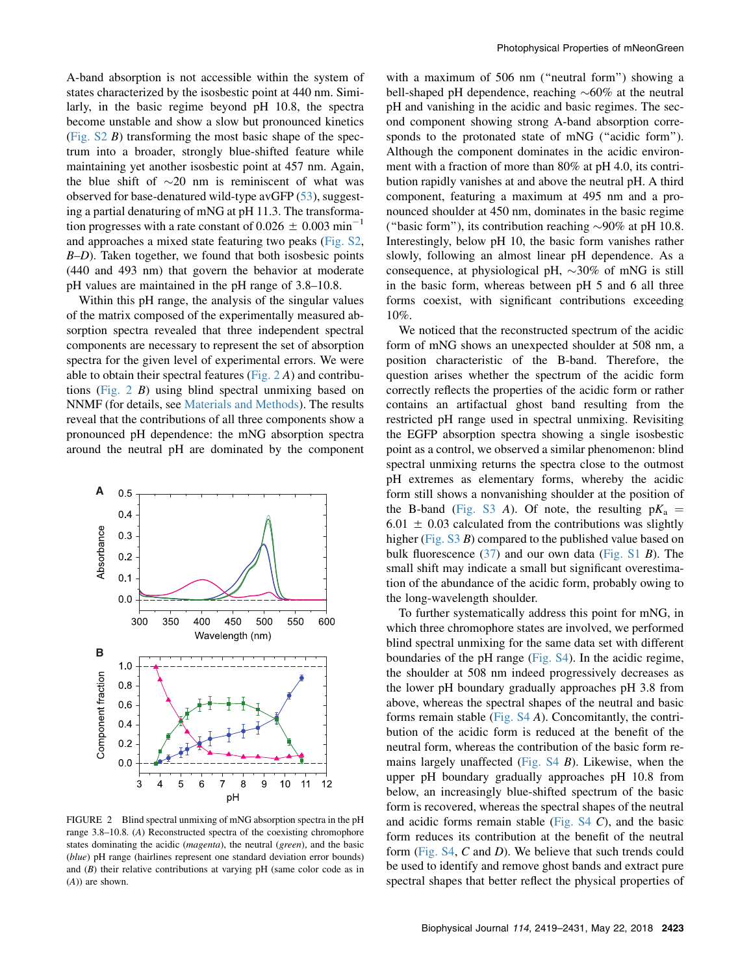A-band absorption is not accessible within the system of states characterized by the isosbestic point at 440 nm. Similarly, in the basic regime beyond pH 10.8, the spectra become unstable and show a slow but pronounced kinetics (Fig. S2 B) transforming the most basic shape of the spectrum into a broader, strongly blue-shifted feature while maintaining yet another isosbestic point at 457 nm. Again, the blue shift of  $\sim$ 20 nm is reminiscent of what was observed for base-denatured wild-type avGFP [\(53](#page-12-9)), suggesting a partial denaturing of mNG at pH 11.3. The transformation progresses with a rate constant of  $0.026 \pm 0.003$  min<sup>-1</sup> and approaches a mixed state featuring two peaks (Fig. S2, B–D). Taken together, we found that both isosbesic points (440 and 493 nm) that govern the behavior at moderate pH values are maintained in the pH range of 3.8–10.8.

Within this pH range, the analysis of the singular values of the matrix composed of the experimentally measured absorption spectra revealed that three independent spectral components are necessary to represent the set of absorption spectra for the given level of experimental errors. We were able to obtain their spectral features (Fig.  $2A$ ) and contributions ([Fig. 2](#page-4-0) B) using blind spectral unmixing based on NNMF (for details, see [Materials and Methods](#page-0-1)). The results reveal that the contributions of all three components show a pronounced pH dependence: the mNG absorption spectra around the neutral pH are dominated by the component

<span id="page-4-0"></span>

FIGURE 2 Blind spectral unmixing of mNG absorption spectra in the pH range 3.8–10.8. (A) Reconstructed spectra of the coexisting chromophore states dominating the acidic (magenta), the neutral (green), and the basic (blue) pH range (hairlines represent one standard deviation error bounds) and  $(B)$  their relative contributions at varying pH (same color code as in (A)) are shown.

with a maximum of 506 nm ("neutral form") showing a bell-shaped pH dependence, reaching  $\sim 60\%$  at the neutral pH and vanishing in the acidic and basic regimes. The second component showing strong A-band absorption corresponds to the protonated state of mNG (''acidic form''). Although the component dominates in the acidic environment with a fraction of more than 80% at pH 4.0, its contribution rapidly vanishes at and above the neutral pH. A third component, featuring a maximum at 495 nm and a pronounced shoulder at 450 nm, dominates in the basic regime ("basic form"), its contribution reaching  $\sim 90\%$  at pH 10.8. Interestingly, below pH 10, the basic form vanishes rather slowly, following an almost linear pH dependence. As a consequence, at physiological pH,  $\sim$ 30% of mNG is still in the basic form, whereas between pH 5 and 6 all three forms coexist, with significant contributions exceeding 10%.

We noticed that the reconstructed spectrum of the acidic form of mNG shows an unexpected shoulder at 508 nm, a position characteristic of the B-band. Therefore, the question arises whether the spectrum of the acidic form correctly reflects the properties of the acidic form or rather contains an artifactual ghost band resulting from the restricted pH range used in spectral unmixing. Revisiting the EGFP absorption spectra showing a single isosbestic point as a control, we observed a similar phenomenon: blind spectral unmixing returns the spectra close to the outmost pH extremes as elementary forms, whereby the acidic form still shows a nonvanishing shoulder at the position of the B-band (Fig. S3 A). Of note, the resulting  $pK_a$  =  $6.01 \pm 0.03$  calculated from the contributions was slightly higher (Fig. S3 B) compared to the published value based on bulk fluorescence  $(37)$  $(37)$  and our own data (Fig. S1 B). The small shift may indicate a small but significant overestimation of the abundance of the acidic form, probably owing to the long-wavelength shoulder.

To further systematically address this point for mNG, in which three chromophore states are involved, we performed blind spectral unmixing for the same data set with different boundaries of the pH range (Fig. S4). In the acidic regime, the shoulder at 508 nm indeed progressively decreases as the lower pH boundary gradually approaches pH 3.8 from above, whereas the spectral shapes of the neutral and basic forms remain stable (Fig. S4 A). Concomitantly, the contribution of the acidic form is reduced at the benefit of the neutral form, whereas the contribution of the basic form remains largely unaffected (Fig. S4 B). Likewise, when the upper pH boundary gradually approaches pH 10.8 from below, an increasingly blue-shifted spectrum of the basic form is recovered, whereas the spectral shapes of the neutral and acidic forms remain stable (Fig.  $S4$  C), and the basic form reduces its contribution at the benefit of the neutral form (Fig. S4, C and D). We believe that such trends could be used to identify and remove ghost bands and extract pure spectral shapes that better reflect the physical properties of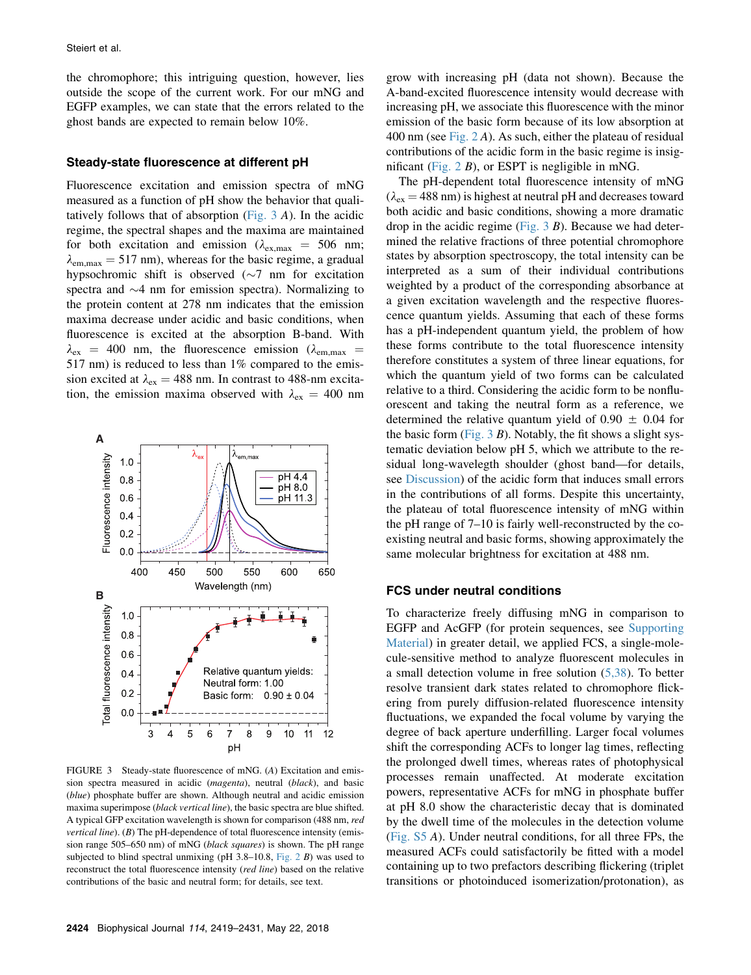the chromophore; this intriguing question, however, lies outside the scope of the current work. For our mNG and EGFP examples, we can state that the errors related to the ghost bands are expected to remain below 10%.

## Steady-state fluorescence at different pH

Fluorescence excitation and emission spectra of mNG measured as a function of pH show the behavior that qualitatively follows that of absorption (Fig.  $3 \text{ }\mathbf{A}$ ). In the acidic regime, the spectral shapes and the maxima are maintained for both excitation and emission ( $\lambda_{\text{ex,max}} = 506 \text{ nm}$ ;  $\lambda_{\text{em,max}} = 517 \text{ nm}$ , whereas for the basic regime, a gradual hypsochromic shift is observed  $(\sim)$  nm for excitation spectra and  $\sim$ 4 nm for emission spectra). Normalizing to the protein content at 278 nm indicates that the emission maxima decrease under acidic and basic conditions, when fluorescence is excited at the absorption B-band. With  $\lambda_{\text{ex}}$  = 400 nm, the fluorescence emission ( $\lambda_{\text{em,max}}$  = 517 nm) is reduced to less than 1% compared to the emission excited at  $\lambda_{\text{ex}} = 488$  nm. In contrast to 488-nm excitation, the emission maxima observed with  $\lambda_{ex} = 400$  nm

<span id="page-5-0"></span>

FIGURE 3 Steady-state fluorescence of mNG. (A) Excitation and emission spectra measured in acidic (magenta), neutral (black), and basic (blue) phosphate buffer are shown. Although neutral and acidic emission maxima superimpose (*black vertical line*), the basic spectra are blue shifted. A typical GFP excitation wavelength is shown for comparison (488 nm, red vertical line). (B) The pH-dependence of total fluorescence intensity (emission range 505–650 nm) of mNG (black squares) is shown. The pH range subjected to blind spectral unmixing (pH 3.8–10.8, [Fig. 2](#page-4-0) B) was used to reconstruct the total fluorescence intensity (red line) based on the relative contributions of the basic and neutral form; for details, see text.

grow with increasing pH (data not shown). Because the A-band-excited fluorescence intensity would decrease with increasing pH, we associate this fluorescence with the minor emission of the basic form because of its low absorption at 400 nm (see Fig.  $2A$ ). As such, either the plateau of residual contributions of the acidic form in the basic regime is insignificant (Fig.  $2 B$ ), or ESPT is negligible in mNG.

The pH-dependent total fluorescence intensity of mNG  $(\lambda_{\rm ex} = 488 \text{ nm})$  is highest at neutral pH and decreases toward both acidic and basic conditions, showing a more dramatic drop in the acidic regime (Fig.  $3 B$ ). Because we had determined the relative fractions of three potential chromophore states by absorption spectroscopy, the total intensity can be interpreted as a sum of their individual contributions weighted by a product of the corresponding absorbance at a given excitation wavelength and the respective fluorescence quantum yields. Assuming that each of these forms has a pH-independent quantum yield, the problem of how these forms contribute to the total fluorescence intensity therefore constitutes a system of three linear equations, for which the quantum yield of two forms can be calculated relative to a third. Considering the acidic form to be nonfluorescent and taking the neutral form as a reference, we determined the relative quantum yield of  $0.90 \pm 0.04$  for the basic form (Fig.  $3 B$ ). Notably, the fit shows a slight systematic deviation below pH 5, which we attribute to the residual long-wavelegth shoulder (ghost band—for details, see [Discussion\)](#page-8-0) of the acidic form that induces small errors in the contributions of all forms. Despite this uncertainty, the plateau of total fluorescence intensity of mNG within the pH range of 7–10 is fairly well-reconstructed by the coexisting neutral and basic forms, showing approximately the same molecular brightness for excitation at 488 nm.

# FCS under neutral conditions

To characterize freely diffusing mNG in comparison to EGFP and AcGFP (for protein sequences, see [Supporting](#page-10-0) [Material](#page-10-0)) in greater detail, we applied FCS, a single-molecule-sensitive method to analyze fluorescent molecules in a small detection volume in free solution [\(5,38\)](#page-11-22). To better resolve transient dark states related to chromophore flickering from purely diffusion-related fluorescence intensity fluctuations, we expanded the focal volume by varying the degree of back aperture underfilling. Larger focal volumes shift the corresponding ACFs to longer lag times, reflecting the prolonged dwell times, whereas rates of photophysical processes remain unaffected. At moderate excitation powers, representative ACFs for mNG in phosphate buffer at pH 8.0 show the characteristic decay that is dominated by the dwell time of the molecules in the detection volume (Fig. S5 A). Under neutral conditions, for all three FPs, the measured ACFs could satisfactorily be fitted with a model containing up to two prefactors describing flickering (triplet transitions or photoinduced isomerization/protonation), as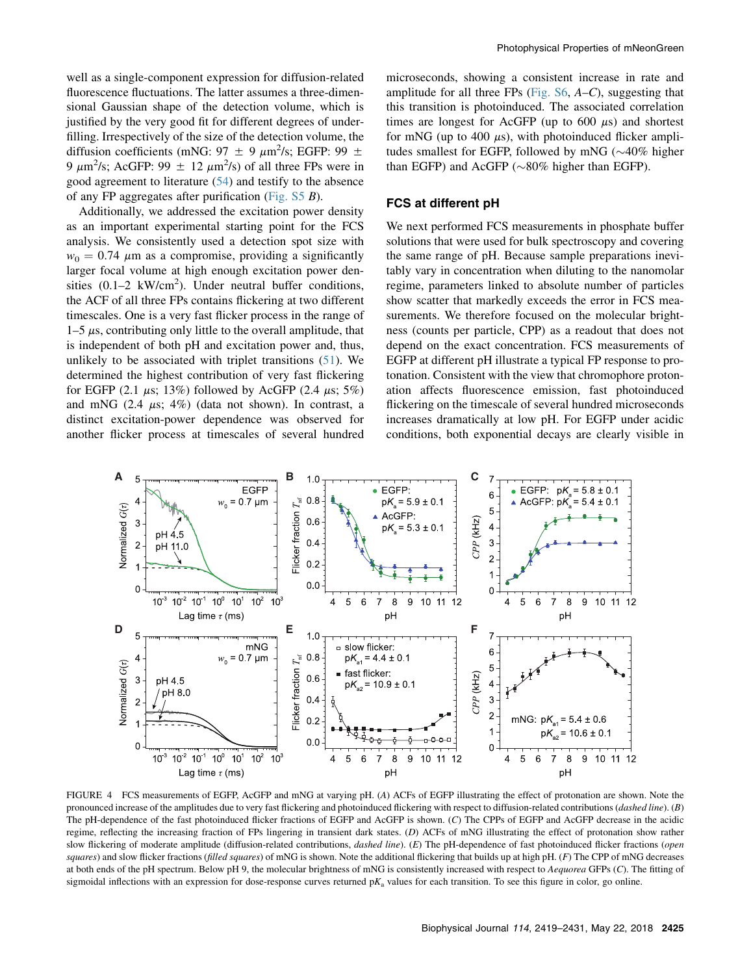well as a single-component expression for diffusion-related fluorescence fluctuations. The latter assumes a three-dimensional Gaussian shape of the detection volume, which is justified by the very good fit for different degrees of underfilling. Irrespectively of the size of the detection volume, the diffusion coefficients (mNG: 97  $\pm$  9  $\mu$ m<sup>2</sup>/s; EGFP: 99  $\pm$ 9  $\mu$ m<sup>2</sup>/s; AcGFP: 99  $\pm$  12  $\mu$ m<sup>2</sup>/s) of all three FPs were in good agreement to literature ([54\)](#page-12-10) and testify to the absence of any FP aggregates after purification (Fig.  $S5 B$ ).

Additionally, we addressed the excitation power density as an important experimental starting point for the FCS analysis. We consistently used a detection spot size with  $w_0 = 0.74$  µm as a compromise, providing a significantly larger focal volume at high enough excitation power densities  $(0.1-2 \text{ kW/cm}^2)$ . Under neutral buffer conditions, the ACF of all three FPs contains flickering at two different timescales. One is a very fast flicker process in the range of  $1-5 \mu s$ , contributing only little to the overall amplitude, that is independent of both pH and excitation power and, thus, unlikely to be associated with triplet transitions ([51\)](#page-12-7). We determined the highest contribution of very fast flickering for EGFP (2.1  $\mu$ s; 13%) followed by AcGFP (2.4  $\mu$ s; 5%) and mNG  $(2.4 \mu s; 4\%)$  (data not shown). In contrast, a distinct excitation-power dependence was observed for another flicker process at timescales of several hundred microseconds, showing a consistent increase in rate and amplitude for all three FPs  $(Fig. S6, A-C)$ , suggesting that this transition is photoinduced. The associated correlation times are longest for AcGFP (up to  $600 \mu s$ ) and shortest for mNG (up to 400  $\mu$ s), with photoinduced flicker amplitudes smallest for EGFP, followed by mNG  $(\sim 40\%$  higher than EGFP) and AcGFP ( $\sim 80\%$  higher than EGFP).

#### FCS at different pH

We next performed FCS measurements in phosphate buffer solutions that were used for bulk spectroscopy and covering the same range of pH. Because sample preparations inevitably vary in concentration when diluting to the nanomolar regime, parameters linked to absolute number of particles show scatter that markedly exceeds the error in FCS measurements. We therefore focused on the molecular brightness (counts per particle, CPP) as a readout that does not depend on the exact concentration. FCS measurements of EGFP at different pH illustrate a typical FP response to protonation. Consistent with the view that chromophore protonation affects fluorescence emission, fast photoinduced flickering on the timescale of several hundred microseconds increases dramatically at low pH. For EGFP under acidic conditions, both exponential decays are clearly visible in

<span id="page-6-0"></span>

FIGURE 4 FCS measurements of EGFP, AcGFP and mNG at varying pH. (A) ACFs of EGFP illustrating the effect of protonation are shown. Note the pronounced increase of the amplitudes due to very fast flickering and photoinduced flickering with respect to diffusion-related contributions (dashed line). (B) The pH-dependence of the fast photoinduced flicker fractions of EGFP and AcGFP is shown. (C) The CPPs of EGFP and AcGFP decrease in the acidic regime, reflecting the increasing fraction of FPs lingering in transient dark states. (D) ACFs of mNG illustrating the effect of protonation show rather slow flickering of moderate amplitude (diffusion-related contributions, dashed line). (E) The pH-dependence of fast photoinduced flicker fractions (open squares) and slow flicker fractions (filled squares) of mNG is shown. Note the additional flickering that builds up at high pH. (F) The CPP of mNG decreases at both ends of the pH spectrum. Below pH 9, the molecular brightness of mNG is consistently increased with respect to Aequorea GFPs (C). The fitting of sigmoidal inflections with an expression for dose-response curves returned  $pK_a$  values for each transition. To see this figure in color, go online.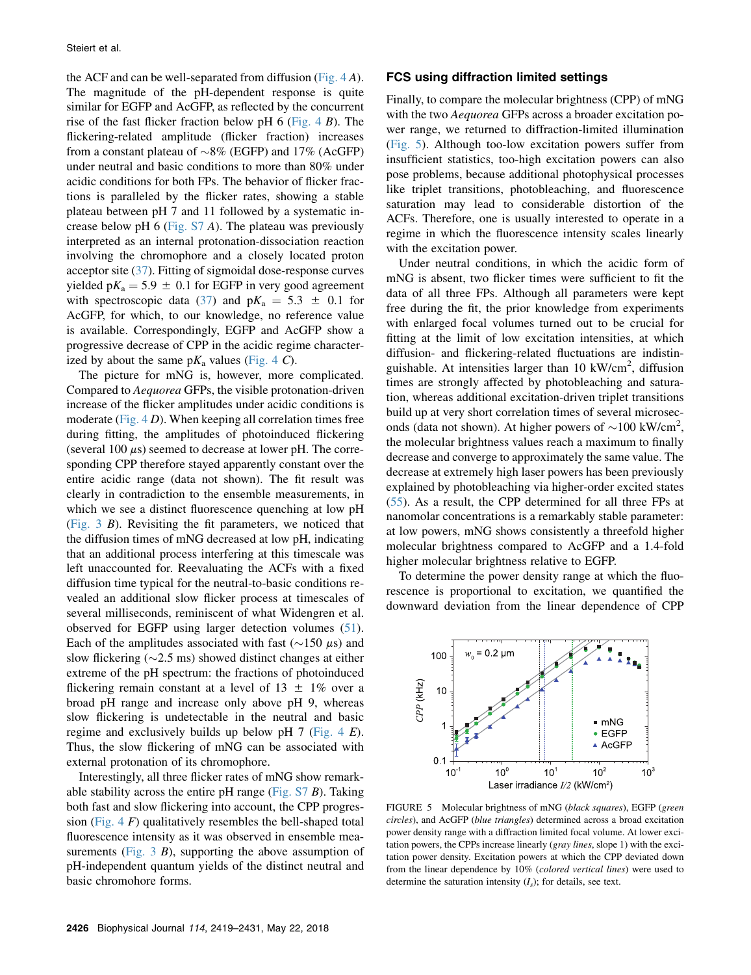the ACF and can be well-separated from diffusion (Fig.  $4A$ ). The magnitude of the pH-dependent response is quite similar for EGFP and AcGFP, as reflected by the concurrent rise of the fast flicker fraction below pH  $6$  [\(Fig. 4](#page-6-0) B). The flickering-related amplitude (flicker fraction) increases from a constant plateau of  $\sim 8\%$  (EGFP) and 17% (AcGFP) under neutral and basic conditions to more than 80% under acidic conditions for both FPs. The behavior of flicker fractions is paralleled by the flicker rates, showing a stable plateau between pH 7 and 11 followed by a systematic increase below pH 6 (Fig.  $S7$  A). The plateau was previously interpreted as an internal protonation-dissociation reaction involving the chromophore and a closely located proton acceptor site ([37\)](#page-11-20). Fitting of sigmoidal dose-response curves yielded  $pK_a = 5.9 \pm 0.1$  for EGFP in very good agreement with spectroscopic data ([37\)](#page-11-20) and  $pK_a = 5.3 \pm 0.1$  for AcGFP, for which, to our knowledge, no reference value is available. Correspondingly, EGFP and AcGFP show a progressive decrease of CPP in the acidic regime characterized by about the same  $pK_a$  values ([Fig. 4](#page-6-0) C).

The picture for mNG is, however, more complicated. Compared to Aequorea GFPs, the visible protonation-driven increase of the flicker amplitudes under acidic conditions is moderate (Fig.  $4 D$ ). When keeping all correlation times free during fitting, the amplitudes of photoinduced flickering (several 100  $\mu$ s) seemed to decrease at lower pH. The corresponding CPP therefore stayed apparently constant over the entire acidic range (data not shown). The fit result was clearly in contradiction to the ensemble measurements, in which we see a distinct fluorescence quenching at low pH ([Fig. 3](#page-5-0) B). Revisiting the fit parameters, we noticed that the diffusion times of mNG decreased at low pH, indicating that an additional process interfering at this timescale was left unaccounted for. Reevaluating the ACFs with a fixed diffusion time typical for the neutral-to-basic conditions revealed an additional slow flicker process at timescales of several milliseconds, reminiscent of what Widengren et al. observed for EGFP using larger detection volumes ([51\)](#page-12-7). Each of the amplitudes associated with fast ( $\sim$ 150  $\mu$ s) and slow flickering ( $\sim$ 2.5 ms) showed distinct changes at either extreme of the pH spectrum: the fractions of photoinduced flickering remain constant at a level of  $13 \pm 1\%$  over a broad pH range and increase only above pH 9, whereas slow flickering is undetectable in the neutral and basic regime and exclusively builds up below pH 7 ([Fig. 4](#page-6-0) E). Thus, the slow flickering of mNG can be associated with external protonation of its chromophore.

<span id="page-7-0"></span>Interestingly, all three flicker rates of mNG show remarkable stability across the entire pH range (Fig.  $S7 B$ ). Taking both fast and slow flickering into account, the CPP progres-sion [\(Fig. 4](#page-6-0)  $F$ ) qualitatively resembles the bell-shaped total fluorescence intensity as it was observed in ensemble measurements (Fig.  $3 \, B$ ), supporting the above assumption of pH-independent quantum yields of the distinct neutral and basic chromohore forms.

# FCS using diffraction limited settings

Finally, to compare the molecular brightness (CPP) of mNG with the two Aequorea GFPs across a broader excitation power range, we returned to diffraction-limited illumination ([Fig. 5\)](#page-7-0). Although too-low excitation powers suffer from insufficient statistics, too-high excitation powers can also pose problems, because additional photophysical processes like triplet transitions, photobleaching, and fluorescence saturation may lead to considerable distortion of the ACFs. Therefore, one is usually interested to operate in a regime in which the fluorescence intensity scales linearly with the excitation power.

Under neutral conditions, in which the acidic form of mNG is absent, two flicker times were sufficient to fit the data of all three FPs. Although all parameters were kept free during the fit, the prior knowledge from experiments with enlarged focal volumes turned out to be crucial for fitting at the limit of low excitation intensities, at which diffusion- and flickering-related fluctuations are indistinguishable. At intensities larger than 10 kW/cm<sup>2</sup>, diffusion times are strongly affected by photobleaching and saturation, whereas additional excitation-driven triplet transitions build up at very short correlation times of several microseconds (data not shown). At higher powers of  $\sim$ 100 kW/cm<sup>2</sup>, the molecular brightness values reach a maximum to finally decrease and converge to approximately the same value. The decrease at extremely high laser powers has been previously explained by photobleaching via higher-order excited states ([55\)](#page-12-11). As a result, the CPP determined for all three FPs at nanomolar concentrations is a remarkably stable parameter: at low powers, mNG shows consistently a threefold higher molecular brightness compared to AcGFP and a 1.4-fold higher molecular brightness relative to EGFP.

To determine the power density range at which the fluorescence is proportional to excitation, we quantified the downward deviation from the linear dependence of CPP



FIGURE 5 Molecular brightness of mNG (black squares), EGFP (green circles), and AcGFP (blue triangles) determined across a broad excitation power density range with a diffraction limited focal volume. At lower excitation powers, the CPPs increase linearly (gray lines, slope 1) with the excitation power density. Excitation powers at which the CPP deviated down from the linear dependence by 10% (colored vertical lines) were used to determine the saturation intensity  $(I_s)$ ; for details, see text.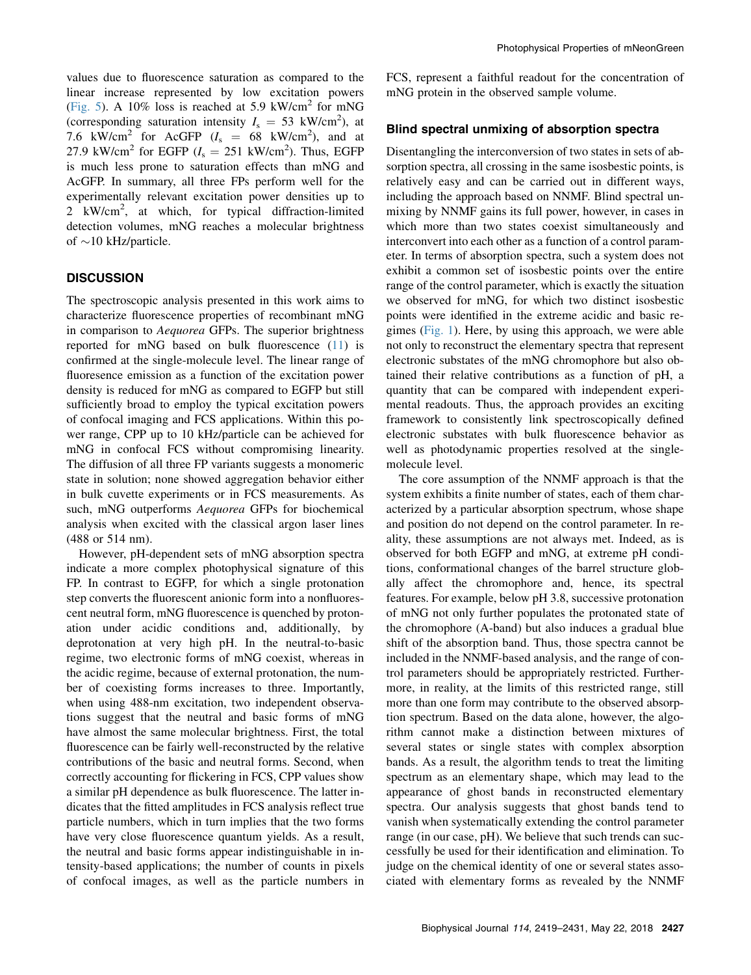values due to fluorescence saturation as compared to the linear increase represented by low excitation powers ([Fig. 5\)](#page-7-0). A 10% loss is reached at 5.9 kW/cm<sup>2</sup> for mNG (corresponding saturation intensity  $I_s = 53$  kW/cm<sup>2</sup>), at 7.6 kW/cm<sup>2</sup> for AcGFP  $(I_s = 68 \text{ kW/cm}^2)$ , and at 27.9 kW/cm<sup>2</sup> for EGFP  $(I_s = 251 \text{ kW/cm}^2)$ . Thus, EGFP is much less prone to saturation effects than mNG and AcGFP. In summary, all three FPs perform well for the experimentally relevant excitation power densities up to 2 kW/cm<sup>2</sup>, at which, for typical diffraction-limited detection volumes, mNG reaches a molecular brightness of  $\sim$ 10 kHz/particle.

# <span id="page-8-0"></span>**DISCUSSION**

The spectroscopic analysis presented in this work aims to characterize fluorescence properties of recombinant mNG in comparison to Aequorea GFPs. The superior brightness reported for mNG based on bulk fluorescence ([11](#page-11-4)) is confirmed at the single-molecule level. The linear range of fluoresence emission as a function of the excitation power density is reduced for mNG as compared to EGFP but still sufficiently broad to employ the typical excitation powers of confocal imaging and FCS applications. Within this power range, CPP up to 10 kHz/particle can be achieved for mNG in confocal FCS without compromising linearity. The diffusion of all three FP variants suggests a monomeric state in solution; none showed aggregation behavior either in bulk cuvette experiments or in FCS measurements. As such, mNG outperforms Aequorea GFPs for biochemical analysis when excited with the classical argon laser lines (488 or 514 nm).

However, pH-dependent sets of mNG absorption spectra indicate a more complex photophysical signature of this FP. In contrast to EGFP, for which a single protonation step converts the fluorescent anionic form into a nonfluorescent neutral form, mNG fluorescence is quenched by protonation under acidic conditions and, additionally, by deprotonation at very high pH. In the neutral-to-basic regime, two electronic forms of mNG coexist, whereas in the acidic regime, because of external protonation, the number of coexisting forms increases to three. Importantly, when using 488-nm excitation, two independent observations suggest that the neutral and basic forms of mNG have almost the same molecular brightness. First, the total fluorescence can be fairly well-reconstructed by the relative contributions of the basic and neutral forms. Second, when correctly accounting for flickering in FCS, CPP values show a similar pH dependence as bulk fluorescence. The latter indicates that the fitted amplitudes in FCS analysis reflect true particle numbers, which in turn implies that the two forms have very close fluorescence quantum yields. As a result, the neutral and basic forms appear indistinguishable in intensity-based applications; the number of counts in pixels of confocal images, as well as the particle numbers in FCS, represent a faithful readout for the concentration of mNG protein in the observed sample volume.

#### Blind spectral unmixing of absorption spectra

Disentangling the interconversion of two states in sets of absorption spectra, all crossing in the same isosbestic points, is relatively easy and can be carried out in different ways, including the approach based on NNMF. Blind spectral unmixing by NNMF gains its full power, however, in cases in which more than two states coexist simultaneously and interconvert into each other as a function of a control parameter. In terms of absorption spectra, such a system does not exhibit a common set of isosbestic points over the entire range of the control parameter, which is exactly the situation we observed for mNG, for which two distinct isosbestic points were identified in the extreme acidic and basic regimes ([Fig. 1\)](#page-3-0). Here, by using this approach, we were able not only to reconstruct the elementary spectra that represent electronic substates of the mNG chromophore but also obtained their relative contributions as a function of pH, a quantity that can be compared with independent experimental readouts. Thus, the approach provides an exciting framework to consistently link spectroscopically defined electronic substates with bulk fluorescence behavior as well as photodynamic properties resolved at the singlemolecule level.

The core assumption of the NNMF approach is that the system exhibits a finite number of states, each of them characterized by a particular absorption spectrum, whose shape and position do not depend on the control parameter. In reality, these assumptions are not always met. Indeed, as is observed for both EGFP and mNG, at extreme pH conditions, conformational changes of the barrel structure globally affect the chromophore and, hence, its spectral features. For example, below pH 3.8, successive protonation of mNG not only further populates the protonated state of the chromophore (A-band) but also induces a gradual blue shift of the absorption band. Thus, those spectra cannot be included in the NNMF-based analysis, and the range of control parameters should be appropriately restricted. Furthermore, in reality, at the limits of this restricted range, still more than one form may contribute to the observed absorption spectrum. Based on the data alone, however, the algorithm cannot make a distinction between mixtures of several states or single states with complex absorption bands. As a result, the algorithm tends to treat the limiting spectrum as an elementary shape, which may lead to the appearance of ghost bands in reconstructed elementary spectra. Our analysis suggests that ghost bands tend to vanish when systematically extending the control parameter range (in our case, pH). We believe that such trends can successfully be used for their identification and elimination. To judge on the chemical identity of one or several states associated with elementary forms as revealed by the NNMF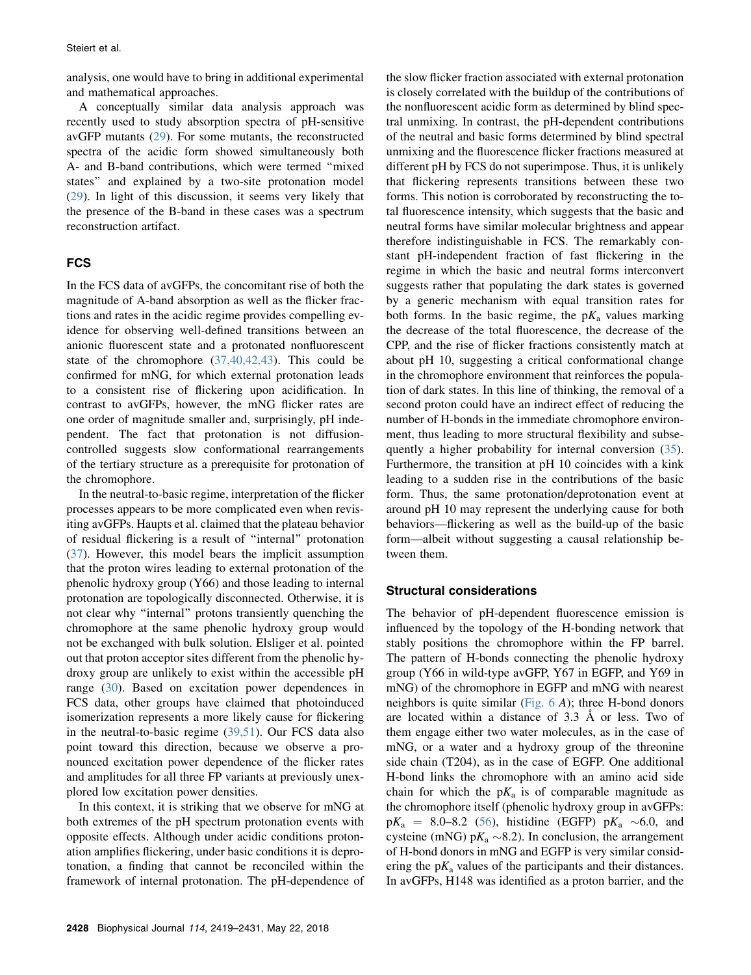analysis, one would have to bring in additional experimental and mathematical approaches.

A conceptually similar data analysis approach was recently used to study absorption spectra of pH-sensitive avGFP mutants [\(29](#page-11-23)). For some mutants, the reconstructed spectra of the acidic form showed simultaneously both A- and B-band contributions, which were termed ''mixed states'' and explained by a two-site protonation model ([29\)](#page-11-23). In light of this discussion, it seems very likely that the presence of the B-band in these cases was a spectrum reconstruction artifact.

# **FCS**

In the FCS data of avGFPs, the concomitant rise of both the magnitude of A-band absorption as well as the flicker fractions and rates in the acidic regime provides compelling evidence for observing well-defined transitions between an anionic fluorescent state and a protonated nonfluorescent state of the chromophore [\(37,40,42,43\)](#page-11-20). This could be confirmed for mNG, for which external protonation leads to a consistent rise of flickering upon acidification. In contrast to avGFPs, however, the mNG flicker rates are one order of magnitude smaller and, surprisingly, pH independent. The fact that protonation is not diffusioncontrolled suggests slow conformational rearrangements of the tertiary structure as a prerequisite for protonation of the chromophore.

In the neutral-to-basic regime, interpretation of the flicker processes appears to be more complicated even when revisiting avGFPs. Haupts et al. claimed that the plateau behavior of residual flickering is a result of ''internal'' protonation ([37\)](#page-11-20). However, this model bears the implicit assumption that the proton wires leading to external protonation of the phenolic hydroxy group (Y66) and those leading to internal protonation are topologically disconnected. Otherwise, it is not clear why ''internal'' protons transiently quenching the chromophore at the same phenolic hydroxy group would not be exchanged with bulk solution. Elsliger et al. pointed out that proton acceptor sites different from the phenolic hydroxy group are unlikely to exist within the accessible pH range ([30\)](#page-11-24). Based on excitation power dependences in FCS data, other groups have claimed that photoinduced isomerization represents a more likely cause for flickering in the neutral-to-basic regime ([39,51](#page-11-25)). Our FCS data also point toward this direction, because we observe a pronounced excitation power dependence of the flicker rates and amplitudes for all three FP variants at previously unexplored low excitation power densities.

In this context, it is striking that we observe for mNG at both extremes of the pH spectrum protonation events with opposite effects. Although under acidic conditions protonation amplifies flickering, under basic conditions it is deprotonation, a finding that cannot be reconciled within the framework of internal protonation. The pH-dependence of the slow flicker fraction associated with external protonation is closely correlated with the buildup of the contributions of the nonfluorescent acidic form as determined by blind spectral unmixing. In contrast, the pH-dependent contributions of the neutral and basic forms determined by blind spectral unmixing and the fluorescence flicker fractions measured at different pH by FCS do not superimpose. Thus, it is unlikely that flickering represents transitions between these two forms. This notion is corroborated by reconstructing the total fluorescence intensity, which suggests that the basic and neutral forms have similar molecular brightness and appear therefore indistinguishable in FCS. The remarkably constant pH-independent fraction of fast flickering in the regime in which the basic and neutral forms interconvert suggests rather that populating the dark states is governed by a generic mechanism with equal transition rates for both forms. In the basic regime, the  $pK_a$  values marking the decrease of the total fluorescence, the decrease of the CPP, and the rise of flicker fractions consistently match at about pH 10, suggesting a critical conformational change in the chromophore environment that reinforces the population of dark states. In this line of thinking, the removal of a second proton could have an indirect effect of reducing the number of H-bonds in the immediate chromophore environment, thus leading to more structural flexibility and subsequently a higher probability for internal conversion ([35\)](#page-11-18). Furthermore, the transition at pH 10 coincides with a kink leading to a sudden rise in the contributions of the basic form. Thus, the same protonation/deprotonation event at around pH 10 may represent the underlying cause for both behaviors—flickering as well as the build-up of the basic form—albeit without suggesting a causal relationship between them.

# Structural considerations

The behavior of pH-dependent fluorescence emission is influenced by the topology of the H-bonding network that stably positions the chromophore within the FP barrel. The pattern of H-bonds connecting the phenolic hydroxy group (Y66 in wild-type avGFP, Y67 in EGFP, and Y69 in mNG) of the chromophore in EGFP and mNG with nearest neighbors is quite similar (Fig.  $6 \text{ } A$ ); three H-bond donors are located within a distance of  $3.3 \text{ Å}$  or less. Two of them engage either two water molecules, as in the case of mNG, or a water and a hydroxy group of the threonine side chain (T204), as in the case of EGFP. One additional H-bond links the chromophore with an amino acid side chain for which the  $pK_a$  is of comparable magnitude as the chromophore itself (phenolic hydroxy group in avGFPs:  $pK_a = 8.0-8.2$  [\(56](#page-12-12)), histidine (EGFP)  $pK_a \sim 6.0$ , and cysteine (mNG)  $pK_a \sim 8.2$ ). In conclusion, the arrangement of H-bond donors in mNG and EGFP is very similar considering the  $pK_a$  values of the participants and their distances. In avGFPs, H148 was identified as a proton barrier, and the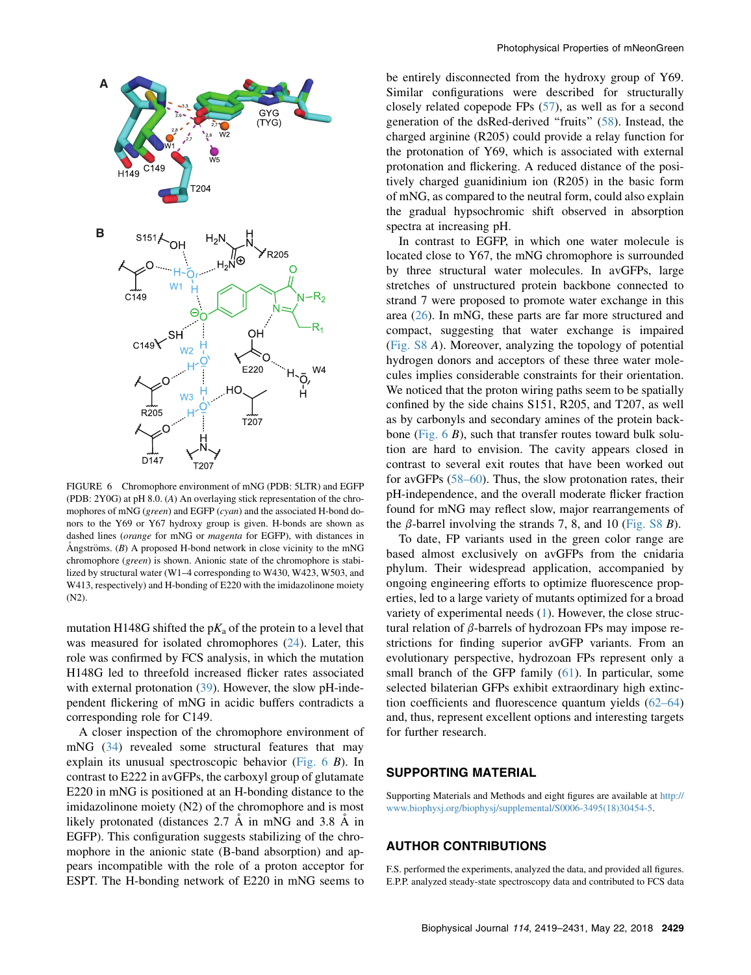<span id="page-10-1"></span>

FIGURE 6 Chromophore environment of mNG (PDB: 5LTR) and EGFP (PDB: 2Y0G) at pH 8.0. (A) An overlaying stick representation of the chromophores of mNG (green) and EGFP (cyan) and the associated H-bond donors to the Y69 or Y67 hydroxy group is given. H-bonds are shown as dashed lines (orange for mNG or magenta for EGFP), with distances in Ångströms. ( $B$ ) A proposed H-bond network in close vicinity to the mNG chromophore (green) is shown. Anionic state of the chromophore is stabilized by structural water (W1–4 corresponding to W430, W423, W503, and W413, respectively) and H-bonding of E220 with the imidazolinone moiety (N2).

mutation H148G shifted the  $pK_a$  of the protein to a level that was measured for isolated chromophores ([24\)](#page-11-13). Later, this role was confirmed by FCS analysis, in which the mutation H148G led to threefold increased flicker rates associated with external protonation ([39\)](#page-11-25). However, the slow pH-independent flickering of mNG in acidic buffers contradicts a corresponding role for C149.

<span id="page-10-0"></span>A closer inspection of the chromophore environment of mNG [\(34](#page-11-16)) revealed some structural features that may explain its unusual spectroscopic behavior [\(Fig. 6](#page-10-1) B). In contrast to E222 in avGFPs, the carboxyl group of glutamate E220 in mNG is positioned at an H-bonding distance to the imidazolinone moiety (N2) of the chromophore and is most likely protonated (distances  $2.7 \text{ Å}$  in mNG and  $3.8 \text{ Å}$  in EGFP). This configuration suggests stabilizing of the chromophore in the anionic state (B-band absorption) and appears incompatible with the role of a proton acceptor for ESPT. The H-bonding network of E220 in mNG seems to be entirely disconnected from the hydroxy group of Y69. Similar configurations were described for structurally closely related copepode FPs [\(57](#page-12-13)), as well as for a second generation of the dsRed-derived ''fruits'' [\(58](#page-12-14)). Instead, the charged arginine (R205) could provide a relay function for the protonation of Y69, which is associated with external protonation and flickering. A reduced distance of the positively charged guanidinium ion (R205) in the basic form of mNG, as compared to the neutral form, could also explain the gradual hypsochromic shift observed in absorption spectra at increasing pH.

In contrast to EGFP, in which one water molecule is located close to Y67, the mNG chromophore is surrounded by three structural water molecules. In avGFPs, large stretches of unstructured protein backbone connected to strand 7 were proposed to promote water exchange in this area ([26\)](#page-11-26). In mNG, these parts are far more structured and compact, suggesting that water exchange is impaired (Fig. S8 A). Moreover, analyzing the topology of potential hydrogen donors and acceptors of these three water molecules implies considerable constraints for their orientation. We noticed that the proton wiring paths seem to be spatially confined by the side chains S151, R205, and T207, as well as by carbonyls and secondary amines of the protein backbone (Fig.  $6 \, B$ ), such that transfer routes toward bulk solution are hard to envision. The cavity appears closed in contrast to several exit routes that have been worked out for avGFPs [\(58–60](#page-12-14)). Thus, the slow protonation rates, their pH-independence, and the overall moderate flicker fraction found for mNG may reflect slow, major rearrangements of the  $\beta$ -barrel involving the strands 7, 8, and 10 (Fig. S8 B).

To date, FP variants used in the green color range are based almost exclusively on avGFPs from the cnidaria phylum. Their widespread application, accompanied by ongoing engineering efforts to optimize fluorescence properties, led to a large variety of mutants optimized for a broad variety of experimental needs ([1\)](#page-11-0). However, the close structural relation of  $\beta$ -barrels of hydrozoan FPs may impose restrictions for finding superior avGFP variants. From an evolutionary perspective, hydrozoan FPs represent only a small branch of the GFP family ([61\)](#page-12-15). In particular, some selected bilaterian GFPs exhibit extraordinary high extinction coefficients and fluorescence quantum yields [\(62–64](#page-12-16)) and, thus, represent excellent options and interesting targets for further research.

#### SUPPORTING MATERIAL

Supporting Materials and Methods and eight figures are available at [http://](http://www.biophysj.org/biophysj/supplemental/S0006-3495(18)30454-5) [www.biophysj.org/biophysj/supplemental/S0006-3495\(18\)30454-5](http://www.biophysj.org/biophysj/supplemental/S0006-3495(18)30454-5).

# AUTHOR CONTRIBUTIONS

F.S. performed the experiments, analyzed the data, and provided all figures. E.P.P. analyzed steady-state spectroscopy data and contributed to FCS data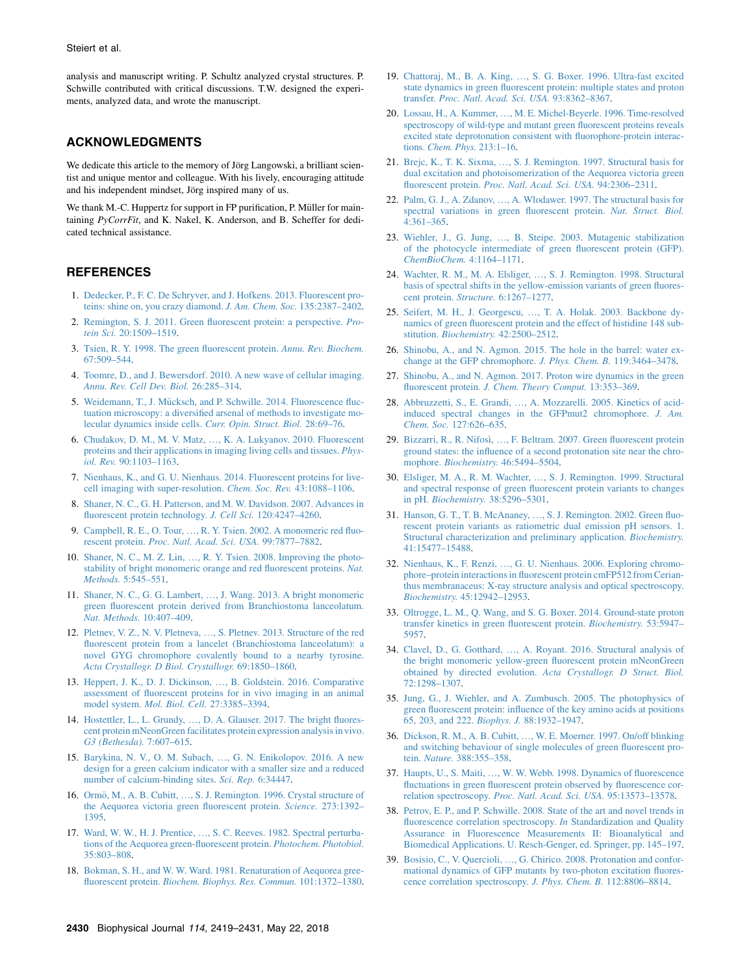analysis and manuscript writing. P. Schultz analyzed crystal structures. P. Schwille contributed with critical discussions. T.W. designed the experiments, analyzed data, and wrote the manuscript.

## ACKNOWLEDGMENTS

We dedicate this article to the memory of Jörg Langowski, a brilliant scientist and unique mentor and colleague. With his lively, encouraging attitude and his independent mindset, Jörg inspired many of us.

We thank M.-C. Huppertz for support in FP purification, P. Müller for maintaining PyCorrFit, and K. Nakel, K. Anderson, and B. Scheffer for dedicated technical assistance.

## **REFERENCES**

- <span id="page-11-0"></span>1. [Dedecker, P., F. C. De Schryver, and J. Hofkens. 2013. Fluorescent pro](http://refhub.elsevier.com/S0006-3495(18)30454-5/sref1)[teins: shine on, you crazy diamond.](http://refhub.elsevier.com/S0006-3495(18)30454-5/sref1) J. Am. Chem. Soc. 135:2387–2402.
- 2. [Remington, S. J. 2011. Green fluorescent protein: a perspective.](http://refhub.elsevier.com/S0006-3495(18)30454-5/sref2) Protein Sci. [20:1509–1519.](http://refhub.elsevier.com/S0006-3495(18)30454-5/sref2)
- <span id="page-11-17"></span>3. [Tsien, R. Y. 1998. The green fluorescent protein.](http://refhub.elsevier.com/S0006-3495(18)30454-5/sref3) Annu. Rev. Biochem. [67:509–544](http://refhub.elsevier.com/S0006-3495(18)30454-5/sref3).
- <span id="page-11-1"></span>4. [Toomre, D., and J. Bewersdorf. 2010. A new wave of cellular imaging.](http://refhub.elsevier.com/S0006-3495(18)30454-5/sref4) [Annu. Rev. Cell Dev. Biol.](http://refhub.elsevier.com/S0006-3495(18)30454-5/sref4) 26:285–314.
- <span id="page-11-22"></span>5. [Weidemann, T., J. M](http://refhub.elsevier.com/S0006-3495(18)30454-5/sref5)ücksch, and P. Schwille. 2014. Fluorescence fluc[tuation microscopy: a diversified arsenal of methods to investigate mo](http://refhub.elsevier.com/S0006-3495(18)30454-5/sref5)[lecular dynamics inside cells.](http://refhub.elsevier.com/S0006-3495(18)30454-5/sref5) Curr. Opin. Struct. Biol. 28:69–76.
- <span id="page-11-2"></span>6. Chudakov, D. M., M. V. Matz, .[, K. A. Lukyanov. 2010. Fluorescent](http://refhub.elsevier.com/S0006-3495(18)30454-5/sref6) [proteins and their applications in imaging living cells and tissues.](http://refhub.elsevier.com/S0006-3495(18)30454-5/sref6) Physiol. Rev. 90:1103- $\overline{1163}$ .
- 7. [Nienhaus, K., and G. U. Nienhaus. 2014. Fluorescent proteins for live](http://refhub.elsevier.com/S0006-3495(18)30454-5/sref7)[cell imaging with super-resolution.](http://refhub.elsevier.com/S0006-3495(18)30454-5/sref7) Chem. Soc. Rev. 43:1088–1106.
- 8. [Shaner, N. C., G. H. Patterson, and M. W. Davidson. 2007. Advances in](http://refhub.elsevier.com/S0006-3495(18)30454-5/sref8) [fluorescent protein technology.](http://refhub.elsevier.com/S0006-3495(18)30454-5/sref8) J. Cell Sci. 120:4247–4260.
- <span id="page-11-3"></span>9. Campbell, R. E., O. Tour, .[, R. Y. Tsien. 2002. A monomeric red fluo](http://refhub.elsevier.com/S0006-3495(18)30454-5/sref9)rescent protein. [Proc. Natl. Acad. Sci. USA.](http://refhub.elsevier.com/S0006-3495(18)30454-5/sref9) 99:7877–7882.
- 10. Shaner, N. C., M. Z. Lin, .[, R. Y. Tsien. 2008. Improving the photo](http://refhub.elsevier.com/S0006-3495(18)30454-5/sref10)[stability of bright monomeric orange and red fluorescent proteins.](http://refhub.elsevier.com/S0006-3495(18)30454-5/sref10) Nat. Methods. [5:545–551](http://refhub.elsevier.com/S0006-3495(18)30454-5/sref10).
- <span id="page-11-4"></span>11. Shaner, N. C., G. G. Lambert, .[, J. Wang. 2013. A bright monomeric](http://refhub.elsevier.com/S0006-3495(18)30454-5/sref11) [green fluorescent protein derived from Branchiostoma lanceolatum.](http://refhub.elsevier.com/S0006-3495(18)30454-5/sref11) [Nat. Methods.](http://refhub.elsevier.com/S0006-3495(18)30454-5/sref11) 10:407–409.
- <span id="page-11-5"></span>12. Pletnev, V. Z., N. V. Pletneva, ...[, S. Pletnev. 2013. Structure of the red](http://refhub.elsevier.com/S0006-3495(18)30454-5/sref12) [fluorescent protein from a lancelet \(Branchiostoma lanceolatum\): a](http://refhub.elsevier.com/S0006-3495(18)30454-5/sref12) [novel GYG chromophore covalently bound to a nearby tyrosine.](http://refhub.elsevier.com/S0006-3495(18)30454-5/sref12) [Acta Crystallogr. D Biol. Crystallogr.](http://refhub.elsevier.com/S0006-3495(18)30454-5/sref12) 69:1850–1860.
- <span id="page-11-6"></span>13. Heppert, J. K., D. J. Dickinson, ...[, B. Goldstein. 2016. Comparative](http://refhub.elsevier.com/S0006-3495(18)30454-5/sref13) [assessment of fluorescent proteins for in vivo imaging in an animal](http://refhub.elsevier.com/S0006-3495(18)30454-5/sref13) model system. [Mol. Biol. Cell.](http://refhub.elsevier.com/S0006-3495(18)30454-5/sref13) 27:3385–3394.
- 14. Hostettler, L., L. Grundy, ...[, D. A. Glauser. 2017. The bright fluores](http://refhub.elsevier.com/S0006-3495(18)30454-5/sref14)[cent protein mNeonGreen facilitates protein expression analysis in vivo.](http://refhub.elsevier.com/S0006-3495(18)30454-5/sref14) [G3 \(Bethesda\).](http://refhub.elsevier.com/S0006-3495(18)30454-5/sref14) 7:607–615.
- <span id="page-11-7"></span>15. Barykina, N. V., O. M. Subach, ...[, G. N. Enikolopov. 2016. A new](http://refhub.elsevier.com/S0006-3495(18)30454-5/sref15) [design for a green calcium indicator with a smaller size and a reduced](http://refhub.elsevier.com/S0006-3495(18)30454-5/sref15) [number of calcium-binding sites.](http://refhub.elsevier.com/S0006-3495(18)30454-5/sref15) Sci. Rep. 6:34447.
- <span id="page-11-8"></span>16. Ormö, M., A. B. Cubitt, ...[, S. J. Remington. 1996. Crystal structure of](http://refhub.elsevier.com/S0006-3495(18)30454-5/sref16) [the Aequorea victoria green fluorescent protein.](http://refhub.elsevier.com/S0006-3495(18)30454-5/sref16) Science. 273:1392– [1395](http://refhub.elsevier.com/S0006-3495(18)30454-5/sref16).
- <span id="page-11-9"></span>17. Ward, W. W., H. J. Prentice, ...[, S. C. Reeves. 1982. Spectral perturba](http://refhub.elsevier.com/S0006-3495(18)30454-5/sref17)[tions of the Aequorea green-fluorescent protein.](http://refhub.elsevier.com/S0006-3495(18)30454-5/sref17) Photochem. Photobiol. [35:803–808](http://refhub.elsevier.com/S0006-3495(18)30454-5/sref17).
- <span id="page-11-10"></span>18. [Bokman, S. H., and W. W. Ward. 1981. Renaturation of Aequorea gree](http://refhub.elsevier.com/S0006-3495(18)30454-5/sref18)fluorescent protein. [Biochem. Biophys. Res. Commun.](http://refhub.elsevier.com/S0006-3495(18)30454-5/sref18) 101:1372–1380.
- <span id="page-11-11"></span>19. Chattoraj, M., B. A. King, .[, S. G. Boxer. 1996. Ultra-fast excited](http://refhub.elsevier.com/S0006-3495(18)30454-5/sref19) [state dynamics in green fluorescent protein: multiple states and proton](http://refhub.elsevier.com/S0006-3495(18)30454-5/sref19) transfer. [Proc. Natl. Acad. Sci. USA.](http://refhub.elsevier.com/S0006-3495(18)30454-5/sref19) 93:8362–8367.
- 20. Lossau, H., A. Kummer, ...[, M. E. Michel-Beyerle. 1996. Time-resolved](http://refhub.elsevier.com/S0006-3495(18)30454-5/sref20) [spectroscopy of wild-type and mutant green fluorescent proteins reveals](http://refhub.elsevier.com/S0006-3495(18)30454-5/sref20) [excited state deprotonation consistent with fluorophore-protein interac](http://refhub.elsevier.com/S0006-3495(18)30454-5/sref20)tions. [Chem. Phys.](http://refhub.elsevier.com/S0006-3495(18)30454-5/sref20) 213:1–16.
- <span id="page-11-12"></span>21. Brejc, K., T. K. Sixma, .[, S. J. Remington. 1997. Structural basis for](http://refhub.elsevier.com/S0006-3495(18)30454-5/sref21) [dual excitation and photoisomerization of the Aequorea victoria green](http://refhub.elsevier.com/S0006-3495(18)30454-5/sref21) fluorescent protein. [Proc. Natl. Acad. Sci. USA.](http://refhub.elsevier.com/S0006-3495(18)30454-5/sref21) 94:2306–2311.
- 22. Palm, G. J., A. Zdanov, .[, A. Wlodawer. 1997. The structural basis for](http://refhub.elsevier.com/S0006-3495(18)30454-5/sref22) [spectral variations in green fluorescent protein.](http://refhub.elsevier.com/S0006-3495(18)30454-5/sref22) Nat. Struct. Biol. [4:361–365](http://refhub.elsevier.com/S0006-3495(18)30454-5/sref22).
- <span id="page-11-15"></span>23. Wiehler, J., G. Jung, ...[, B. Steipe. 2003. Mutagenic stabilization](http://refhub.elsevier.com/S0006-3495(18)30454-5/sref23) [of the photocycle intermediate of green fluorescent protein \(GFP\).](http://refhub.elsevier.com/S0006-3495(18)30454-5/sref23) [ChemBioChem.](http://refhub.elsevier.com/S0006-3495(18)30454-5/sref23) 4:1164–1171.
- <span id="page-11-13"></span>24. Wachter, R. M., M. A. Elsliger, ...[, S. J. Remington. 1998. Structural](http://refhub.elsevier.com/S0006-3495(18)30454-5/sref24) [basis of spectral shifts in the yellow-emission variants of green fluores](http://refhub.elsevier.com/S0006-3495(18)30454-5/sref24)cent protein. Structure. [6:1267–1277.](http://refhub.elsevier.com/S0006-3495(18)30454-5/sref24)
- <span id="page-11-14"></span>25. Seifert, M. H., J. Georgescu, ...[, T. A. Holak. 2003. Backbone dy](http://refhub.elsevier.com/S0006-3495(18)30454-5/sref25)[namics of green fluorescent protein and the effect of histidine 148 sub](http://refhub.elsevier.com/S0006-3495(18)30454-5/sref25)stitution. Biochemistry. [42:2500–2512.](http://refhub.elsevier.com/S0006-3495(18)30454-5/sref25)
- <span id="page-11-26"></span>26. [Shinobu, A., and N. Agmon. 2015. The hole in the barrel: water ex](http://refhub.elsevier.com/S0006-3495(18)30454-5/sref26)[change at the GFP chromophore.](http://refhub.elsevier.com/S0006-3495(18)30454-5/sref26) J. Phys. Chem. B. 119:3464–3478.
- 27. [Shinobu, A., and N. Agmon. 2017. Proton wire dynamics in the green](http://refhub.elsevier.com/S0006-3495(18)30454-5/sref27) fluorescent protein. [J. Chem. Theory Comput.](http://refhub.elsevier.com/S0006-3495(18)30454-5/sref27) 13:353-369.
- 28. Abbruzzetti, S., E. Grandi, ...[, A. Mozzarelli. 2005. Kinetics of acid](http://refhub.elsevier.com/S0006-3495(18)30454-5/sref28)[induced spectral changes in the GFPmut2 chromophore.](http://refhub.elsevier.com/S0006-3495(18)30454-5/sref28) J. Am. Chem. Soc. [127:626–635](http://refhub.elsevier.com/S0006-3495(18)30454-5/sref28).
- <span id="page-11-23"></span>29. Bizzarri, R., R. Nifosì, ...[, F. Beltram. 2007. Green fluorescent protein](http://refhub.elsevier.com/S0006-3495(18)30454-5/sref29) [ground states: the influence of a second protonation site near the chro](http://refhub.elsevier.com/S0006-3495(18)30454-5/sref29)mophore. Biochemistry. [46:5494–5504.](http://refhub.elsevier.com/S0006-3495(18)30454-5/sref29)
- <span id="page-11-24"></span>30. Elsliger, M. A., R. M. Wachter, ...[, S. J. Remington. 1999. Structural](http://refhub.elsevier.com/S0006-3495(18)30454-5/sref30) [and spectral response of green fluorescent protein variants to changes](http://refhub.elsevier.com/S0006-3495(18)30454-5/sref30) in pH. Biochemistry. [38:5296–5301.](http://refhub.elsevier.com/S0006-3495(18)30454-5/sref30)
- 31. Hanson, G. T., T. B. McAnaney, ...[, S. J. Remington. 2002. Green fluo](http://refhub.elsevier.com/S0006-3495(18)30454-5/sref31)[rescent protein variants as ratiometric dual emission pH sensors. 1.](http://refhub.elsevier.com/S0006-3495(18)30454-5/sref31) [Structural characterization and preliminary application.](http://refhub.elsevier.com/S0006-3495(18)30454-5/sref31) Biochemistry. [41:15477–15488](http://refhub.elsevier.com/S0006-3495(18)30454-5/sref31).
- 32. Nienhaus, K., F. Renzi, .[, G. U. Nienhaus. 2006. Exploring chromo](http://refhub.elsevier.com/S0006-3495(18)30454-5/sref32)[phore–protein interactions in fluorescent protein cmFP512 from Cerian](http://refhub.elsevier.com/S0006-3495(18)30454-5/sref32)[thus membranaceus: X-ray structure analysis and optical spectroscopy.](http://refhub.elsevier.com/S0006-3495(18)30454-5/sref32) Biochemistry. [45:12942–12953.](http://refhub.elsevier.com/S0006-3495(18)30454-5/sref32)
- 33. [Oltrogge, L. M., Q. Wang, and S. G. Boxer. 2014. Ground-state proton](http://refhub.elsevier.com/S0006-3495(18)30454-5/sref33) [transfer kinetics in green fluorescent protein.](http://refhub.elsevier.com/S0006-3495(18)30454-5/sref33) Biochemistry. 53:5947– [5957](http://refhub.elsevier.com/S0006-3495(18)30454-5/sref33).
- <span id="page-11-16"></span>34. Clavel, D., G. Gotthard, ...[, A. Royant. 2016. Structural analysis of](http://refhub.elsevier.com/S0006-3495(18)30454-5/sref34) [the bright monomeric yellow-green fluorescent protein mNeonGreen](http://refhub.elsevier.com/S0006-3495(18)30454-5/sref34) obtained by directed evolution. [Acta Crystallogr. D Struct. Biol.](http://refhub.elsevier.com/S0006-3495(18)30454-5/sref34) [72:1298–1307](http://refhub.elsevier.com/S0006-3495(18)30454-5/sref34).
- <span id="page-11-18"></span>35. [Jung, G., J. Wiehler, and A. Zumbusch. 2005. The photophysics of](http://refhub.elsevier.com/S0006-3495(18)30454-5/sref35) [green fluorescent protein: influence of the key amino acids at positions](http://refhub.elsevier.com/S0006-3495(18)30454-5/sref35) [65, 203, and 222.](http://refhub.elsevier.com/S0006-3495(18)30454-5/sref35) Biophys. J. 88:1932–1947.
- <span id="page-11-19"></span>36. Dickson, R. M., A. B. Cubitt, .[, W. E. Moerner. 1997. On/off blinking](http://refhub.elsevier.com/S0006-3495(18)30454-5/sref36) [and switching behaviour of single molecules of green fluorescent pro](http://refhub.elsevier.com/S0006-3495(18)30454-5/sref36)tein. Nature. [388:355–358.](http://refhub.elsevier.com/S0006-3495(18)30454-5/sref36)
- <span id="page-11-20"></span>37. Haupts, U., S. Maiti, .[, W. W. Webb. 1998. Dynamics of fluorescence](http://refhub.elsevier.com/S0006-3495(18)30454-5/sref37) [fluctuations in green fluorescent protein observed by fluorescence cor](http://refhub.elsevier.com/S0006-3495(18)30454-5/sref37)relation spectroscopy. [Proc. Natl. Acad. Sci. USA.](http://refhub.elsevier.com/S0006-3495(18)30454-5/sref37) 95:13573–13578.
- <span id="page-11-21"></span>38. [Petrov, E. P., and P. Schwille. 2008. State of the art and novel trends in](http://refhub.elsevier.com/S0006-3495(18)30454-5/sref38) [fluorescence correlation spectroscopy.](http://refhub.elsevier.com/S0006-3495(18)30454-5/sref38) In Standardization and Quality [Assurance in Fluorescence Measurements II: Bioanalytical and](http://refhub.elsevier.com/S0006-3495(18)30454-5/sref38) [Biomedical Applications. U. Resch-Genger, ed. Springer, pp. 145–197.](http://refhub.elsevier.com/S0006-3495(18)30454-5/sref38)
- <span id="page-11-25"></span>39. Bosisio, C., V. Quercioli, ...[, G. Chirico. 2008. Protonation and confor](http://refhub.elsevier.com/S0006-3495(18)30454-5/sref39)[mational dynamics of GFP mutants by two-photon excitation fluores](http://refhub.elsevier.com/S0006-3495(18)30454-5/sref39)[cence correlation spectroscopy.](http://refhub.elsevier.com/S0006-3495(18)30454-5/sref39) J. Phys. Chem. B. 112:8806–8814.